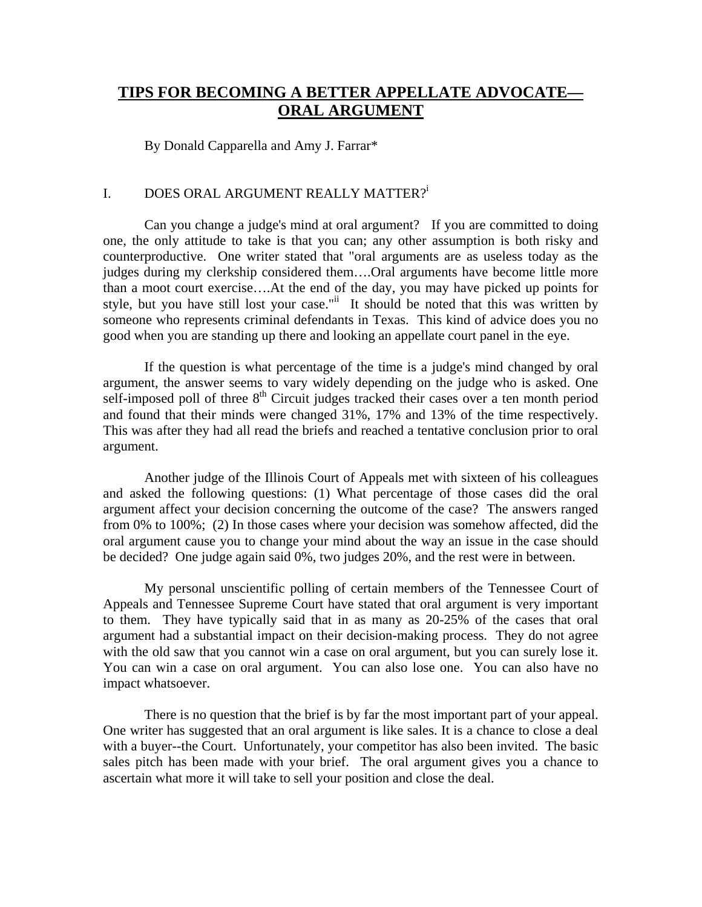# **TIPS FOR BECOMING A BETTER APPELLATE ADVOCATE— ORAL ARGUMENT**

By Donald Capparella and Amy J. Farrar\*

#### I. DOES ORAL ARGUMENT REALLY MATTER?<sup>i</sup>

Can you change a judge's mind at oral argument? If you are committed to doing one, the only attitude to take is that you can; any other assumption is both risky and counterproductive. One writer stated that "oral arguments are as useless today as the judges during my clerkship considered them….Oral arguments have become little more than a moot court exercise….At the end of the day, you may have picked up points for style, but you have still lost your case."<sup>ii</sup> It should be noted that this was written by someone who represents criminal defendants in Texas. This kind of advice does you no good when you are standing up there and looking an appellate court panel in the eye.

If the question is what percentage of the time is a judge's mind changed by oral argument, the answer seems to vary widely depending on the judge who is asked. One self-imposed poll of three 8<sup>th</sup> Circuit judges tracked their cases over a ten month period and found that their minds were changed 31%, 17% and 13% of the time respectively. This was after they had all read the briefs and reached a tentative conclusion prior to oral argument.

Another judge of the Illinois Court of Appeals met with sixteen of his colleagues and asked the following questions: (1) What percentage of those cases did the oral argument affect your decision concerning the outcome of the case? The answers ranged from 0% to 100%; (2) In those cases where your decision was somehow affected, did the oral argument cause you to change your mind about the way an issue in the case should be decided? One judge again said 0%, two judges 20%, and the rest were in between.

My personal unscientific polling of certain members of the Tennessee Court of Appeals and Tennessee Supreme Court have stated that oral argument is very important to them. They have typically said that in as many as 20-25% of the cases that oral argument had a substantial impact on their decision-making process. They do not agree with the old saw that you cannot win a case on oral argument, but you can surely lose it. You can win a case on oral argument. You can also lose one. You can also have no impact whatsoever.

There is no question that the brief is by far the most important part of your appeal. One writer has suggested that an oral argument is like sales. It is a chance to close a deal with a buyer--the Court. Unfortunately, your competitor has also been invited. The basic sales pitch has been made with your brief. The oral argument gives you a chance to ascertain what more it will take to sell your position and close the deal.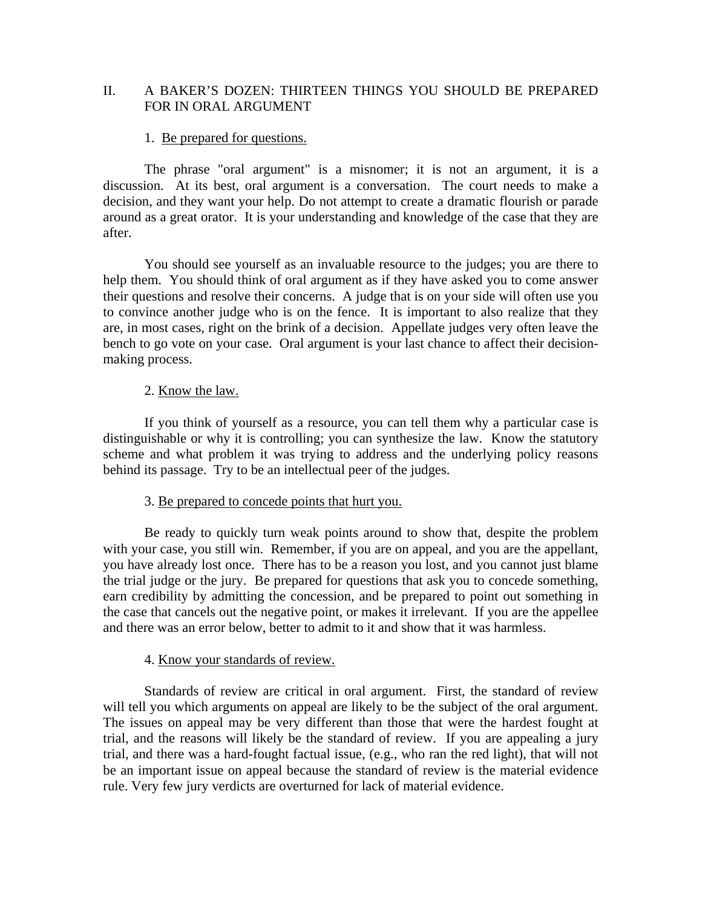# II. A BAKER'S DOZEN: THIRTEEN THINGS YOU SHOULD BE PREPARED FOR IN ORAL ARGUMENT

#### 1. Be prepared for questions.

The phrase "oral argument" is a misnomer; it is not an argument, it is a discussion. At its best, oral argument is a conversation. The court needs to make a decision, and they want your help. Do not attempt to create a dramatic flourish or parade around as a great orator. It is your understanding and knowledge of the case that they are after.

You should see yourself as an invaluable resource to the judges; you are there to help them. You should think of oral argument as if they have asked you to come answer their questions and resolve their concerns. A judge that is on your side will often use you to convince another judge who is on the fence. It is important to also realize that they are, in most cases, right on the brink of a decision. Appellate judges very often leave the bench to go vote on your case. Oral argument is your last chance to affect their decisionmaking process.

#### 2. Know the law.

If you think of yourself as a resource, you can tell them why a particular case is distinguishable or why it is controlling; you can synthesize the law. Know the statutory scheme and what problem it was trying to address and the underlying policy reasons behind its passage. Try to be an intellectual peer of the judges.

#### 3. Be prepared to concede points that hurt you.

Be ready to quickly turn weak points around to show that, despite the problem with your case, you still win. Remember, if you are on appeal, and you are the appellant, you have already lost once. There has to be a reason you lost, and you cannot just blame the trial judge or the jury. Be prepared for questions that ask you to concede something, earn credibility by admitting the concession, and be prepared to point out something in the case that cancels out the negative point, or makes it irrelevant. If you are the appellee and there was an error below, better to admit to it and show that it was harmless.

## 4. Know your standards of review.

Standards of review are critical in oral argument. First, the standard of review will tell you which arguments on appeal are likely to be the subject of the oral argument. The issues on appeal may be very different than those that were the hardest fought at trial, and the reasons will likely be the standard of review. If you are appealing a jury trial, and there was a hard-fought factual issue, (e.g., who ran the red light), that will not be an important issue on appeal because the standard of review is the material evidence rule. Very few jury verdicts are overturned for lack of material evidence.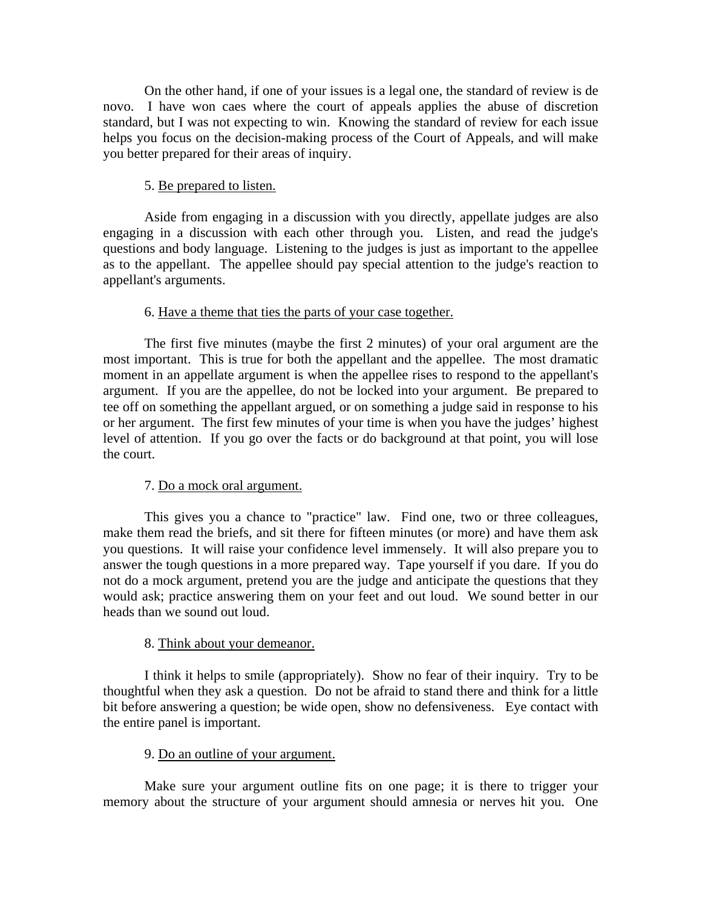On the other hand, if one of your issues is a legal one, the standard of review is de novo. I have won caes where the court of appeals applies the abuse of discretion standard, but I was not expecting to win. Knowing the standard of review for each issue helps you focus on the decision-making process of the Court of Appeals, and will make you better prepared for their areas of inquiry.

### 5. Be prepared to listen.

Aside from engaging in a discussion with you directly, appellate judges are also engaging in a discussion with each other through you. Listen, and read the judge's questions and body language. Listening to the judges is just as important to the appellee as to the appellant. The appellee should pay special attention to the judge's reaction to appellant's arguments.

#### 6. Have a theme that ties the parts of your case together.

The first five minutes (maybe the first 2 minutes) of your oral argument are the most important. This is true for both the appellant and the appellee. The most dramatic moment in an appellate argument is when the appellee rises to respond to the appellant's argument. If you are the appellee, do not be locked into your argument. Be prepared to tee off on something the appellant argued, or on something a judge said in response to his or her argument. The first few minutes of your time is when you have the judges' highest level of attention. If you go over the facts or do background at that point, you will lose the court.

#### 7. Do a mock oral argument.

This gives you a chance to "practice" law. Find one, two or three colleagues, make them read the briefs, and sit there for fifteen minutes (or more) and have them ask you questions. It will raise your confidence level immensely. It will also prepare you to answer the tough questions in a more prepared way. Tape yourself if you dare. If you do not do a mock argument, pretend you are the judge and anticipate the questions that they would ask; practice answering them on your feet and out loud. We sound better in our heads than we sound out loud.

#### 8. Think about your demeanor.

I think it helps to smile (appropriately). Show no fear of their inquiry. Try to be thoughtful when they ask a question. Do not be afraid to stand there and think for a little bit before answering a question; be wide open, show no defensiveness. Eye contact with the entire panel is important.

#### 9. Do an outline of your argument.

Make sure your argument outline fits on one page; it is there to trigger your memory about the structure of your argument should amnesia or nerves hit you. One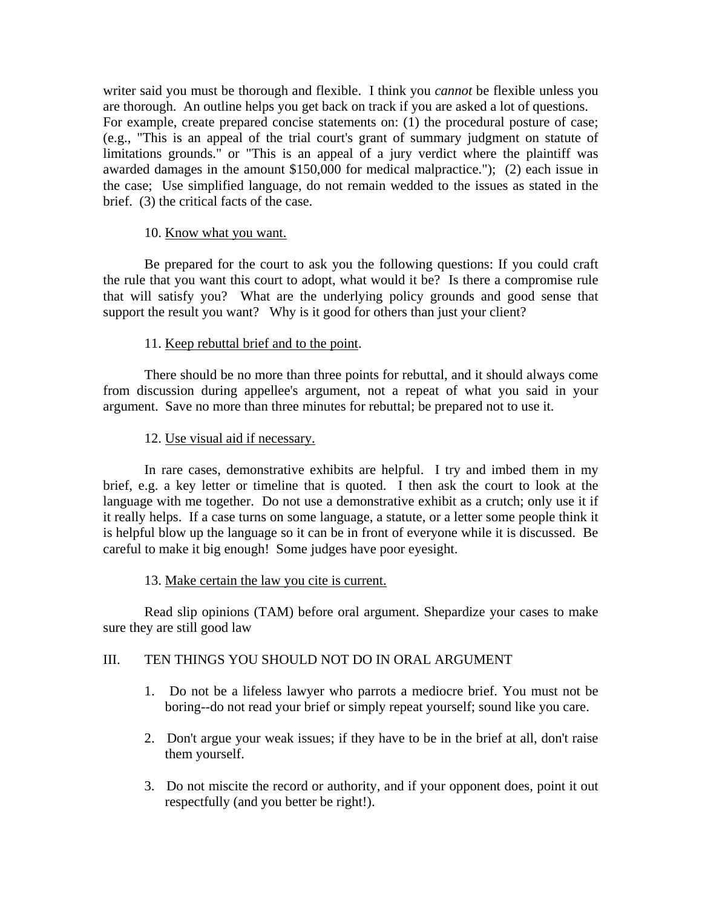writer said you must be thorough and flexible. I think you *cannot* be flexible unless you are thorough. An outline helps you get back on track if you are asked a lot of questions. For example, create prepared concise statements on: (1) the procedural posture of case; (e.g., "This is an appeal of the trial court's grant of summary judgment on statute of limitations grounds." or "This is an appeal of a jury verdict where the plaintiff was awarded damages in the amount \$150,000 for medical malpractice."); (2) each issue in the case; Use simplified language, do not remain wedded to the issues as stated in the brief. (3) the critical facts of the case.

## 10. Know what you want.

Be prepared for the court to ask you the following questions: If you could craft the rule that you want this court to adopt, what would it be? Is there a compromise rule that will satisfy you? What are the underlying policy grounds and good sense that support the result you want? Why is it good for others than just your client?

# 11. Keep rebuttal brief and to the point.

There should be no more than three points for rebuttal, and it should always come from discussion during appellee's argument, not a repeat of what you said in your argument. Save no more than three minutes for rebuttal; be prepared not to use it.

# 12. Use visual aid if necessary.

In rare cases, demonstrative exhibits are helpful. I try and imbed them in my brief, e.g. a key letter or timeline that is quoted. I then ask the court to look at the language with me together. Do not use a demonstrative exhibit as a crutch; only use it if it really helps. If a case turns on some language, a statute, or a letter some people think it is helpful blow up the language so it can be in front of everyone while it is discussed. Be careful to make it big enough! Some judges have poor eyesight.

## 13. Make certain the law you cite is current.

Read slip opinions (TAM) before oral argument. Shepardize your cases to make sure they are still good law

# III. TEN THINGS YOU SHOULD NOT DO IN ORAL ARGUMENT

- 1. Do not be a lifeless lawyer who parrots a mediocre brief. You must not be boring--do not read your brief or simply repeat yourself; sound like you care.
- 2. Don't argue your weak issues; if they have to be in the brief at all, don't raise them yourself.
- 3. Do not miscite the record or authority, and if your opponent does, point it out respectfully (and you better be right!).